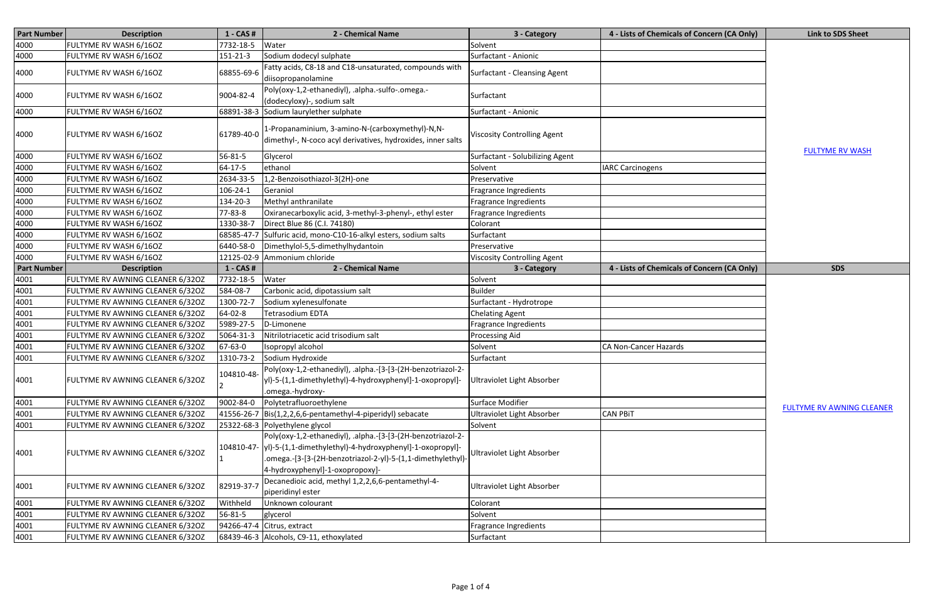| <b>Part Number</b> | <b>Description</b>               | 1 - CAS #      | 2 - Chemical Name                                                                                                                                                                                                                     | 3 - Category                        | 4 - Lists of Chemicals of Concern (CA Only) | <b>Link to SDS Sheet</b>         |  |
|--------------------|----------------------------------|----------------|---------------------------------------------------------------------------------------------------------------------------------------------------------------------------------------------------------------------------------------|-------------------------------------|---------------------------------------------|----------------------------------|--|
| 4000               | FULTYME RV WASH 6/16OZ           | 7732-18-5      | <b>Water</b>                                                                                                                                                                                                                          | Solvent                             |                                             |                                  |  |
| 4000               | FULTYME RV WASH 6/16OZ           | 151-21-3       | Sodium dodecyl sulphate                                                                                                                                                                                                               | Surfactant - Anionic                |                                             |                                  |  |
| 4000               | FULTYME RV WASH 6/16OZ           | 68855-69-6     | Fatty acids, C8-18 and C18-unsaturated, compounds with<br>diisopropanolamine                                                                                                                                                          | <b>Surfactant - Cleansing Agent</b> |                                             |                                  |  |
| 4000               | FULTYME RV WASH 6/16OZ           | 9004-82-4      | Poly(oxy-1,2-ethanediyl), .alpha.-sulfo-.omega.-<br>(dodecyloxy)-, sodium salt                                                                                                                                                        | Surfactant                          |                                             |                                  |  |
| 4000               | FULTYME RV WASH 6/16OZ           | 68891-38-3     | Sodium laurylether sulphate                                                                                                                                                                                                           | Surfactant - Anionic                |                                             |                                  |  |
| 4000               | FULTYME RV WASH 6/16OZ           | 61789-40-0     | 1-Propanaminium, 3-amino-N-(carboxymethyl)-N,N-<br>dimethyl-, N-coco acyl derivatives, hydroxides, inner salts                                                                                                                        | <b>Viscosity Controlling Agent</b>  |                                             |                                  |  |
| 4000               | FULTYME RV WASH 6/16OZ           | 56-81-5        | Glycerol                                                                                                                                                                                                                              | Surfactant - Solubilizing Agent     |                                             | <b>FULTYME RV WASH</b>           |  |
| 4000               | FULTYME RV WASH 6/16OZ           | 64-17-5        | ethanol                                                                                                                                                                                                                               | Solvent                             | <b>IARC Carcinogens</b>                     |                                  |  |
| 4000               | FULTYME RV WASH 6/16OZ           | 2634-33-5      | 1,2-Benzoisothiazol-3(2H)-one                                                                                                                                                                                                         | Preservative                        |                                             |                                  |  |
| 4000               | FULTYME RV WASH 6/16OZ           | $106 - 24 - 1$ | Geraniol                                                                                                                                                                                                                              | Fragrance Ingredients               |                                             |                                  |  |
| 4000               | FULTYME RV WASH 6/16OZ           | 134-20-3       | Methyl anthranilate                                                                                                                                                                                                                   | Fragrance Ingredients               |                                             |                                  |  |
| 4000               | FULTYME RV WASH 6/16OZ           | 77-83-8        | Oxiranecarboxylic acid, 3-methyl-3-phenyl-, ethyl ester                                                                                                                                                                               | Fragrance Ingredients               |                                             |                                  |  |
| 4000               | FULTYME RV WASH 6/16OZ           | 1330-38-7      | Direct Blue 86 (C.I. 74180)                                                                                                                                                                                                           | Colorant                            |                                             |                                  |  |
| 4000               | FULTYME RV WASH 6/16OZ           | 68585-47-7     | Sulfuric acid, mono-C10-16-alkyl esters, sodium salts                                                                                                                                                                                 | Surfactant                          |                                             |                                  |  |
| 4000               | FULTYME RV WASH 6/16OZ           | 6440-58-0      | Dimethylol-5,5-dimethylhydantoin                                                                                                                                                                                                      | Preservative                        |                                             |                                  |  |
| 4000               | FULTYME RV WASH 6/16OZ           |                | 12125-02-9 Ammonium chloride                                                                                                                                                                                                          | <b>Viscosity Controlling Agent</b>  |                                             |                                  |  |
| <b>Part Number</b> | <b>Description</b>               | 1 - CAS #      | 2 - Chemical Name                                                                                                                                                                                                                     | 3 - Category                        | 4 - Lists of Chemicals of Concern (CA Only) | <b>SDS</b>                       |  |
| 4001               | FULTYME RV AWNING CLEANER 6/32OZ | 7732-18-5      | Water                                                                                                                                                                                                                                 | Solvent                             |                                             |                                  |  |
| 4001               | FULTYME RV AWNING CLEANER 6/32OZ | 584-08-7       | Carbonic acid, dipotassium salt                                                                                                                                                                                                       | <b>Builder</b>                      |                                             |                                  |  |
| 4001               | FULTYME RV AWNING CLEANER 6/32OZ | 1300-72-7      | Sodium xylenesulfonate                                                                                                                                                                                                                | Surfactant - Hydrotrope             |                                             |                                  |  |
| 4001               | FULTYME RV AWNING CLEANER 6/320Z | 64-02-8        | <b>Tetrasodium EDTA</b>                                                                                                                                                                                                               | <b>Chelating Agent</b>              |                                             |                                  |  |
| 4001               | FULTYME RV AWNING CLEANER 6/32OZ | 5989-27-5      | D-Limonene                                                                                                                                                                                                                            | Fragrance Ingredients               |                                             |                                  |  |
| 4001               | FULTYME RV AWNING CLEANER 6/32OZ | 5064-31-3      | Nitrilotriacetic acid trisodium salt                                                                                                                                                                                                  | Processing Aid                      |                                             |                                  |  |
| 4001               | FULTYME RV AWNING CLEANER 6/32OZ | 67-63-0        | Isopropyl alcohol                                                                                                                                                                                                                     | Solvent                             | <b>CA Non-Cancer Hazards</b>                |                                  |  |
| 4001               | FULTYME RV AWNING CLEANER 6/32OZ | 1310-73-2      | Sodium Hydroxide                                                                                                                                                                                                                      | Surfactant                          |                                             |                                  |  |
| 4001               | FULTYME RV AWNING CLEANER 6/320Z | 104810-48-     | Poly(oxy-1,2-ethanediyl), .alpha.-[3-[3-(2H-benzotriazol-2-<br>yl)-5-(1,1-dimethylethyl)-4-hydroxyphenyl]-1-oxopropyl]-<br>.omega.-hydroxy-                                                                                           | <b>Ultraviolet Light Absorber</b>   |                                             |                                  |  |
| 4001               | FULTYME RV AWNING CLEANER 6/32OZ | 9002-84-0      | Polytetrafluoroethylene                                                                                                                                                                                                               | <b>Surface Modifier</b>             |                                             | <b>FULTYME RV AWNING CLEANER</b> |  |
| 4001               | FULTYME RV AWNING CLEANER 6/320Z | 41556-26-7     | Bis(1,2,2,6,6-pentamethyl-4-piperidyl) sebacate                                                                                                                                                                                       | <b>Ultraviolet Light Absorber</b>   | <b>CAN PBIT</b>                             |                                  |  |
| 4001               | FULTYME RV AWNING CLEANER 6/32OZ |                | 25322-68-3 Polyethylene glycol                                                                                                                                                                                                        | Solvent                             |                                             |                                  |  |
| 4001               | FULTYME RV AWNING CLEANER 6/32OZ |                | Poly(oxy-1,2-ethanediyl), .alpha.-[3-[3-(2H-benzotriazol-2-<br>104810-47-  yl)-5-(1,1-dimethylethyl)-4-hydroxyphenyl]-1-oxopropyl]-<br>.omega.-[3-[3-(2H-benzotriazol-2-yl)-5-(1,1-dimethylethyl)-<br>4-hydroxyphenyl]-1-oxopropoxy]- | <b>Ultraviolet Light Absorber</b>   |                                             |                                  |  |
| 4001               | FULTYME RV AWNING CLEANER 6/32OZ | 82919-37-7     | Decanedioic acid, methyl 1,2,2,6,6-pentamethyl-4-<br>piperidinyl ester                                                                                                                                                                | Ultraviolet Light Absorber          |                                             |                                  |  |
| 4001               | FULTYME RV AWNING CLEANER 6/32OZ | Withheld       | Unknown colourant                                                                                                                                                                                                                     | Colorant                            |                                             |                                  |  |
| 4001               | FULTYME RV AWNING CLEANER 6/32OZ | 56-81-5        | glycerol                                                                                                                                                                                                                              | Solvent                             |                                             |                                  |  |
| 4001               | FULTYME RV AWNING CLEANER 6/320Z | 94266-47-4     | Citrus, extract                                                                                                                                                                                                                       | Fragrance Ingredients               |                                             |                                  |  |
| 4001               | FULTYME RV AWNING CLEANER 6/32OZ |                | 68439-46-3 Alcohols, C9-11, ethoxylated                                                                                                                                                                                               | Surfactant                          |                                             |                                  |  |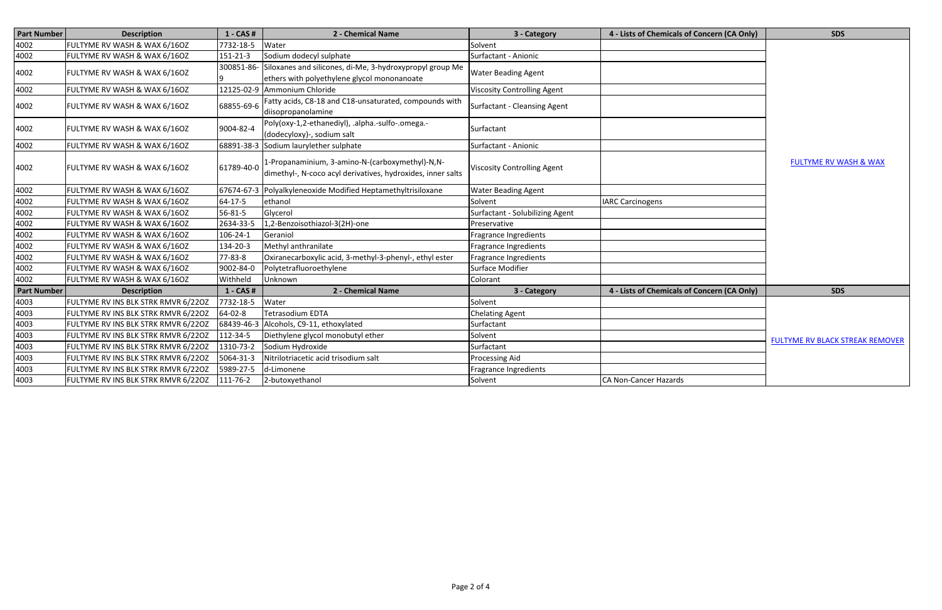| <b>Part Number</b> | <b>Description</b>                  | 1 - CAS #      | 2 - Chemical Name                                                                                              | 3 - Category                        | 4 - Lists of Chemicals of Concern (CA Only) | <b>SDS</b>                |
|--------------------|-------------------------------------|----------------|----------------------------------------------------------------------------------------------------------------|-------------------------------------|---------------------------------------------|---------------------------|
| 4002               | FULTYME RV WASH & WAX 6/16OZ        | 7732-18-5      | Water                                                                                                          | Solvent                             |                                             |                           |
| 4002               | FULTYME RV WASH & WAX 6/16OZ        | $151 - 21 - 3$ | Sodium dodecyl sulphate                                                                                        | Surfactant - Anionic                |                                             |                           |
| 4002               | FULTYME RV WASH & WAX 6/16OZ        | 300851-86-     | Siloxanes and silicones, di-Me, 3-hydroxypropyl group Me<br>ethers with polyethylene glycol mononanoate        | <b>Water Beading Agent</b>          |                                             |                           |
| 4002               | FULTYME RV WASH & WAX 6/16OZ        |                | 12125-02-9 Ammonium Chloride                                                                                   | <b>Viscosity Controlling Agent</b>  |                                             |                           |
| 4002               | FULTYME RV WASH & WAX 6/16OZ        | 68855-69-6     | Fatty acids, C8-18 and C18-unsaturated, compounds with<br>diisopropanolamine                                   | <b>Surfactant - Cleansing Agent</b> |                                             |                           |
| 4002               | FULTYME RV WASH & WAX 6/16OZ        | 9004-82-4      | Poly(oxy-1,2-ethanediyl), .alpha.-sulfo-.omega.-<br>(dodecyloxy)-, sodium salt                                 | Surfactant                          |                                             |                           |
| 4002               | FULTYME RV WASH & WAX 6/16OZ        |                | 68891-38-3 Sodium laurylether sulphate                                                                         | Surfactant - Anionic                |                                             |                           |
| 4002               | FULTYME RV WASH & WAX 6/16OZ        | 61789-40-0     | 1-Propanaminium, 3-amino-N-(carboxymethyl)-N,N-<br>dimethyl-, N-coco acyl derivatives, hydroxides, inner salts | <b>Viscosity Controlling Agent</b>  |                                             | <b>FULTYME RV W</b>       |
| 4002               | FULTYME RV WASH & WAX 6/16OZ        | 67674-67-3     | Polyalkyleneoxide Modified Heptamethyltrisiloxane                                                              | <b>Water Beading Agent</b>          |                                             |                           |
| 4002               | FULTYME RV WASH & WAX 6/16OZ        | $64 - 17 - 5$  | ethanol                                                                                                        | Solvent                             | <b>IARC Carcinogens</b>                     |                           |
| 4002               | FULTYME RV WASH & WAX 6/16OZ        | $56 - 81 - 5$  | Glycerol                                                                                                       | Surfactant - Solubilizing Agent     |                                             |                           |
| 4002               | FULTYME RV WASH & WAX 6/16OZ        | 2634-33-5      | 1,2-Benzoisothiazol-3(2H)-one                                                                                  | Preservative                        |                                             |                           |
| 4002               | FULTYME RV WASH & WAX 6/16OZ        | 106-24-1       | Geraniol                                                                                                       | <b>Fragrance Ingredients</b>        |                                             |                           |
| 4002               | FULTYME RV WASH & WAX 6/16OZ        | 134-20-3       | Methyl anthranilate                                                                                            | <b>Fragrance Ingredients</b>        |                                             |                           |
| 4002               | FULTYME RV WASH & WAX 6/16OZ        | $77 - 83 - 8$  | Oxiranecarboxylic acid, 3-methyl-3-phenyl-, ethyl ester                                                        | <b>Fragrance Ingredients</b>        |                                             |                           |
| 4002               | FULTYME RV WASH & WAX 6/16OZ        | 9002-84-0      | Polytetrafluoroethylene                                                                                        | Surface Modifier                    |                                             |                           |
| 4002               | FULTYME RV WASH & WAX 6/16OZ        | Withheld       | Unknown                                                                                                        | Colorant                            |                                             |                           |
| <b>Part Number</b> | <b>Description</b>                  | $1 - CAS$ #    | 2 - Chemical Name                                                                                              | 3 - Category                        | 4 - Lists of Chemicals of Concern (CA Only) | <b>SDS</b>                |
| 4003               | FULTYME RV INS BLK STRK RMVR 6/220Z | 7732-18-5      | Water                                                                                                          | Solvent                             |                                             |                           |
| 4003               | FULTYME RV INS BLK STRK RMVR 6/220Z | 64-02-8        | Tetrasodium EDTA                                                                                               | <b>Chelating Agent</b>              |                                             |                           |
| 4003               | FULTYME RV INS BLK STRK RMVR 6/220Z | 68439-46-3     | Alcohols, C9-11, ethoxylated                                                                                   | Surfactant                          |                                             |                           |
| 4003               | FULTYME RV INS BLK STRK RMVR 6/220Z | 112-34-5       | Diethylene glycol monobutyl ether                                                                              | Solvent                             |                                             | <b>FULTYME RV BLACK S</b> |
| 4003               | FULTYME RV INS BLK STRK RMVR 6/220Z | 1310-73-2      | Sodium Hydroxide                                                                                               | Surfactant                          |                                             |                           |
| 4003               | FULTYME RV INS BLK STRK RMVR 6/220Z | 5064-31-3      | Nitrilotriacetic acid trisodium salt                                                                           | <b>Processing Aid</b>               |                                             |                           |
| 4003               | FULTYME RV INS BLK STRK RMVR 6/220Z | 5989-27-5      | d-Limonene                                                                                                     | Fragrance Ingredients               |                                             |                           |
| 4003               | FULTYME RV INS BLK STRK RMVR 6/220Z | 111-76-2       | 2-butoxyethanol                                                                                                | Solvent                             | <b>CA Non-Cancer Hazards</b>                |                           |

| <b>Concern (CA Only)</b> | <b>SDS</b>                             |
|--------------------------|----------------------------------------|
|                          | <b>FULTYME RV WASH &amp; WAX</b>       |
| Concern (CA Only)        | <b>SDS</b>                             |
|                          | <b>FULTYME RV BLACK STREAK REMOVER</b> |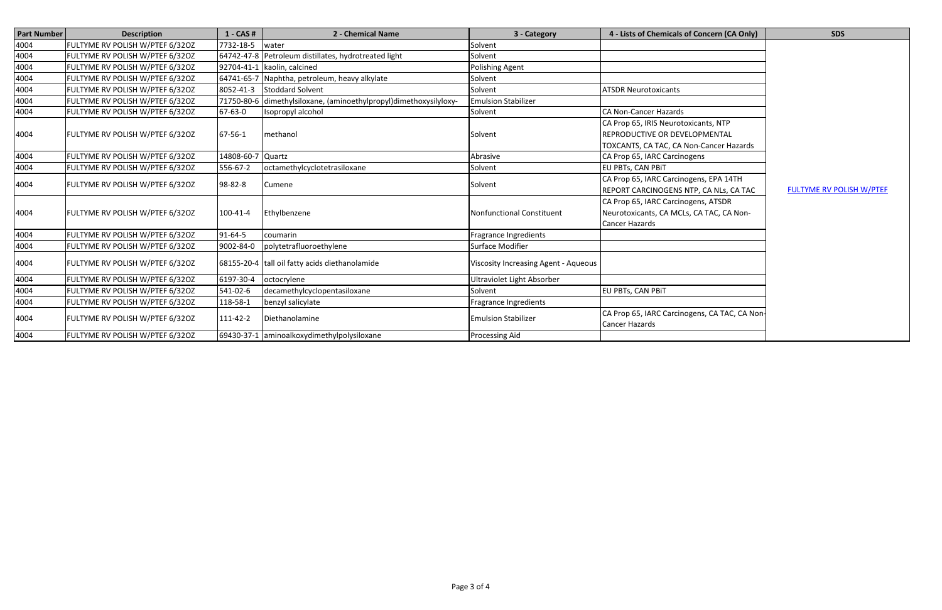| <b>Part Number</b> | <b>Description</b>              | $1 - CAS$ #       | 2 - Chemical Name                                      | 3 - Category                         | 4 - Lists of Chemicals of Concern (CA Only)                                                                             | <b>SDS</b>               |
|--------------------|---------------------------------|-------------------|--------------------------------------------------------|--------------------------------------|-------------------------------------------------------------------------------------------------------------------------|--------------------------|
| 4004               | FULTYME RV POLISH W/PTEF 6/320Z | 7732-18-5         | water                                                  | Solvent                              |                                                                                                                         |                          |
| 4004               | FULTYME RV POLISH W/PTEF 6/32OZ |                   | 64742-47-8 Petroleum distillates, hydrotreated light   | Solvent                              |                                                                                                                         |                          |
| 4004               | FULTYME RV POLISH W/PTEF 6/32OZ |                   | 92704-41-1 kaolin, calcined                            | Polishing Agent                      |                                                                                                                         |                          |
| 4004               | FULTYME RV POLISH W/PTEF 6/320Z | 64741-65-7        | Naphtha, petroleum, heavy alkylate                     | Solvent                              |                                                                                                                         |                          |
| 4004               | FULTYME RV POLISH W/PTEF 6/32OZ | 8052-41-3         | Stoddard Solvent                                       | Solvent                              | <b>ATSDR Neurotoxicants</b>                                                                                             |                          |
| 4004               | FULTYME RV POLISH W/PTEF 6/32OZ | 71750-80-6        | dimethylsiloxane, (aminoethylpropyl)dimethoxysilyloxy- | <b>Emulsion Stabilizer</b>           |                                                                                                                         |                          |
| 4004               | FULTYME RV POLISH W/PTEF 6/32OZ | 67-63-0           | Isopropyl alcohol                                      | Solvent                              | CA Non-Cancer Hazards                                                                                                   |                          |
| 4004               | FULTYME RV POLISH W/PTEF 6/32OZ | 67-56-1           | methanol                                               | Solvent                              | CA Prop 65, IRIS Neurotoxicants, NTP<br><b>REPRODUCTIVE OR DEVELOPMENTAL</b><br>TOXCANTS, CA TAC, CA Non-Cancer Hazards |                          |
| 4004               | FULTYME RV POLISH W/PTEF 6/32OZ | 14808-60-7 Quartz |                                                        | Abrasive                             | CA Prop 65, IARC Carcinogens                                                                                            |                          |
| 4004               | FULTYME RV POLISH W/PTEF 6/32OZ | 556-67-2          | octamethylcyclotetrasiloxane                           | Solvent                              | <b>EU PBTs, CAN PBIT</b>                                                                                                |                          |
| 4004               | FULTYME RV POLISH W/PTEF 6/32OZ | 98-82-8           | <b>Cumene</b>                                          | Solvent                              | CA Prop 65, IARC Carcinogens, EPA 14TH<br><b>REPORT CARCINOGENS NTP, CA NLs, CA TAC</b>                                 | FULTYME RV POLISH W/PTEF |
| 4004               | FULTYME RV POLISH W/PTEF 6/32OZ | $100 - 41 - 4$    | Ethylbenzene                                           | Nonfunctional Constituent            | CA Prop 65, IARC Carcinogens, ATSDR<br>Neurotoxicants, CA MCLs, CA TAC, CA Non-<br>Cancer Hazards                       |                          |
| 4004               | FULTYME RV POLISH W/PTEF 6/32OZ | 91-64-5           | coumarin                                               | Fragrance Ingredients                |                                                                                                                         |                          |
| 4004               | FULTYME RV POLISH W/PTEF 6/32OZ | 9002-84-0         | polytetrafluoroethylene                                | Surface Modifier                     |                                                                                                                         |                          |
| 4004               | FULTYME RV POLISH W/PTEF 6/32OZ |                   | 68155-20-4 tall oil fatty acids diethanolamide         | Viscosity Increasing Agent - Aqueous |                                                                                                                         |                          |
| 4004               | FULTYME RV POLISH W/PTEF 6/32OZ | 6197-30-4         | octocrylene                                            | Ultraviolet Light Absorber           |                                                                                                                         |                          |
| 4004               | FULTYME RV POLISH W/PTEF 6/32OZ | 541-02-6          | decamethylcyclopentasiloxane                           | Solvent                              | <b>EU PBTs, CAN PBIT</b>                                                                                                |                          |
| 4004               | FULTYME RV POLISH W/PTEF 6/32OZ | 118-58-1          | benzyl salicylate                                      | Fragrance Ingredients                |                                                                                                                         |                          |
| 4004               | FULTYME RV POLISH W/PTEF 6/32OZ | $111 - 42 - 2$    | Diethanolamine                                         | <b>Emulsion Stabilizer</b>           | CA Prop 65, IARC Carcinogens, CA TAC, CA Non-<br>Cancer Hazards                                                         |                          |
| 4004               | FULTYME RV POLISH W/PTEF 6/32OZ |                   | 69430-37-1 aminoalkoxydimethylpolysiloxane             | <b>Processing Aid</b>                |                                                                                                                         |                          |